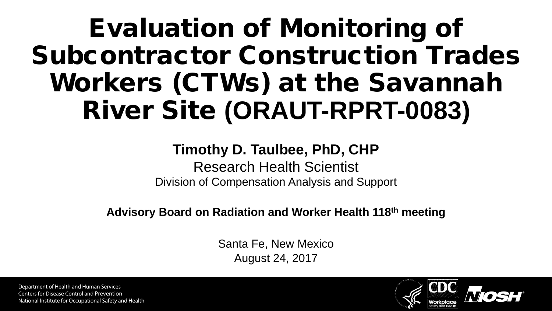## Evaluation of Monitoring of Subcontractor Construction Trades Workers (CTWs) at the Savannah River Site **(ORAUT-RPRT-0083)**

#### **Timothy D. Taulbee, PhD, CHP**

Research Health Scientist Division of Compensation Analysis and Support

**Advisory Board on Radiation and Worker Health 118th meeting**

Santa Fe, New Mexico August 24, 2017

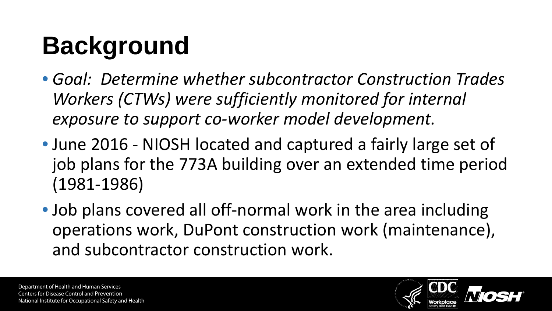# **Background**

- *Goal: Determine whether subcontractor Construction Trades Workers (CTWs) were sufficiently monitored for internal exposure to support co-worker model development.*
- June 2016 NIOSH located and captured a fairly large set of job plans for the 773A building over an extended time period (1981-1986)
- Job plans covered all off-normal work in the area including operations work, DuPont construction work (maintenance), and subcontractor construction work.

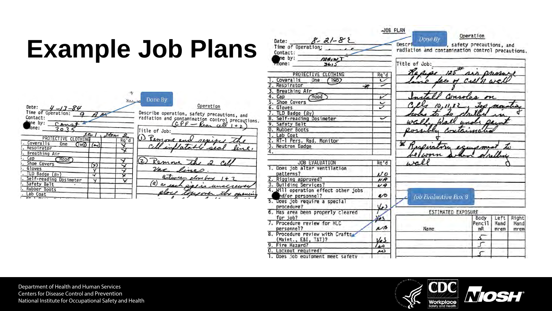# **Example Job Plans**

|                                                       |                              | JOB PLAN                                                                                                     |                           |           |      |       |
|-------------------------------------------------------|------------------------------|--------------------------------------------------------------------------------------------------------------|---------------------------|-----------|------|-------|
| Date: $8 - 21 - 82$<br>Time of Operation:<br>Contact: |                              | Done By<br>Descri enterprise to a safety precautions, and<br>radiation and contamination control precautions |                           | Operation |      |       |
| $me$ by: $ma \rightarrow m$                           |                              |                                                                                                              |                           |           |      |       |
| $r$ none:<br>3413                                     |                              | Title of Job:                                                                                                |                           |           |      |       |
| PROTECTIVE CLOTHING                                   | Rq'd                         | Repipe 125 air pressure                                                                                      |                           |           |      |       |
| 1. Coveralls<br>One $(Tw)$                            | ت                            | no face of cultin wall                                                                                       |                           |           |      |       |
| 2. Respirator<br>$\star$                              |                              |                                                                                                              |                           |           |      |       |
| 3. Breathing Air                                      |                              |                                                                                                              |                           |           |      |       |
| Also<br>4. Cap                                        | v                            |                                                                                                              | ansoles on                |           |      |       |
| 5. Shoe Covers                                        | U                            |                                                                                                              |                           |           |      |       |
| 6. Gloves                                             |                              |                                                                                                              | $10, 11, 12, 100$ Mous    |           |      |       |
| 7. TLD Badge (By)                                     |                              |                                                                                                              |                           |           |      |       |
| 8. Self-reading Dosimeter                             | $\tilde{}$                   |                                                                                                              |                           |           |      |       |
| 9. Safety Belt                                        |                              |                                                                                                              |                           |           |      |       |
| 0. Rubber Boots                                       |                              | ossibly Containate                                                                                           |                           |           |      |       |
| 1. Lab Coat                                           |                              |                                                                                                              |                           |           |      |       |
| 2. RT-1 Pers. Rad. Monitor                            |                              |                                                                                                              |                           |           |      |       |
| 3. Neutron Badge                                      |                              | Ж<br>Resenation exemporar                                                                                    |                           |           |      |       |
| 4.                                                    |                              |                                                                                                              |                           |           |      |       |
|                                                       |                              | worn when                                                                                                    |                           |           |      |       |
| <b>JOB EVALUATION</b>                                 | Rq'd                         |                                                                                                              |                           |           |      |       |
| 1. Does job alter ventilation                         |                              |                                                                                                              |                           |           |      |       |
| patterns?                                             | No                           |                                                                                                              |                           |           |      |       |
| 2. Rigging approved?                                  | NA                           |                                                                                                              |                           |           |      |       |
| 3. Building Services?                                 | 44                           |                                                                                                              |                           |           |      |       |
| 4. Will operation effect other jobs                   |                              |                                                                                                              |                           |           |      |       |
| nd/or personnel?                                      | $\mathcal{L}^{\prime\prime}$ | Job Evaluation Box 8                                                                                         |                           |           |      |       |
| 5. Does job require a special                         |                              |                                                                                                              |                           |           |      |       |
| procedure?                                            | دمک                          |                                                                                                              |                           |           |      |       |
| 6. Has area been properly cleared                     |                              |                                                                                                              | <b>ESTIMATED EXPOSURE</b> |           |      |       |
| for job?                                              | Y.                           |                                                                                                              |                           | Body      | Left | Right |
| 7. Procedure review for HLC                           |                              |                                                                                                              |                           | Pencil    | Hand | Hand  |
| personnel?                                            | NA                           | Name                                                                                                         |                           | mR        | mrem | mrem  |
| 8. Procedure review with Crafts                       |                              |                                                                                                              |                           |           |      |       |
| (Maint., E&I, T&T)?                                   | Ves                          |                                                                                                              |                           |           |      |       |
| 9. Fire Hazard?                                       | هدا                          |                                                                                                              |                           | J         |      |       |
| 0. Lockout required?                                  | w                            |                                                                                                              |                           |           |      |       |
| 1. Does job equipment meet safety                     |                              |                                                                                                              |                           |           |      |       |

Done By  $\mathbf{v}$ Operation Date:  $-13 - 84$ Describe operation, safety precautions, and<br>radiation and contamination control precautions.<br> $\overbrace{CPF - \text{Réan cell } I + z}^{PQ}$ Time of Operation: Contact: ne by Title of Job: <u>ہ ہ</u> PROTECTIVE CLOTHING Item (i) Remo Rq'd Coveralls One  $\overline{C}$ wo  $\overline{(\sim)}$ Respirator ↴ Breathing Air  $Cap$  $(Hood)$  $\left( 2\right)$ ↴ Remor Shoe Covers  $(\star)$ ↴ . Gloves  $2a$ Y ↴ . TLD Badge (By) ⇁  $\overline{\mathbf{x}}$ Between planetony 1+7 . Self-reading Dosimeter  $\overline{v}$ x  $(a)$ . Safety Belt a . Rubber Boots . Lab Coat

傍

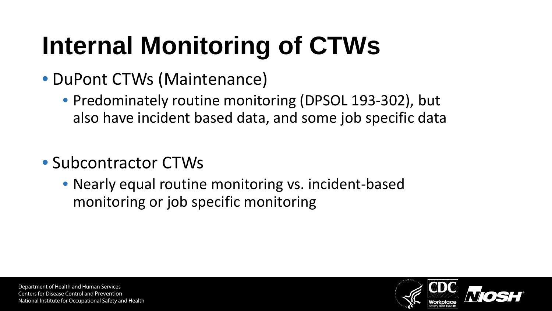# **Internal Monitoring of CTWs**

- DuPont CTWs (Maintenance)
	- Predominately routine monitoring (DPSOL 193-302), but also have incident based data, and some job specific data
- Subcontractor CTWs
	- Nearly equal routine monitoring vs. incident-based monitoring or job specific monitoring

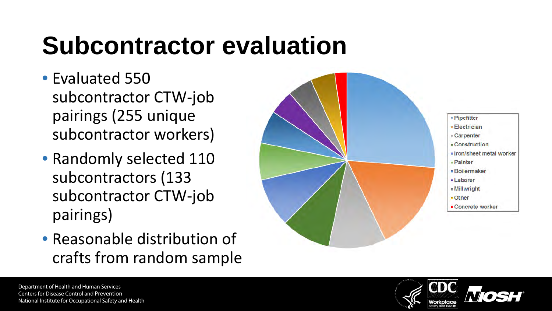# **Subcontractor evaluation**

- Evaluated 550 subcontractor CTW-job pairings (255 unique subcontractor workers)
- Randomly selected 110 subcontractors (133 subcontractor CTW-job pairings)
- Reasonable distribution of crafts from random sample



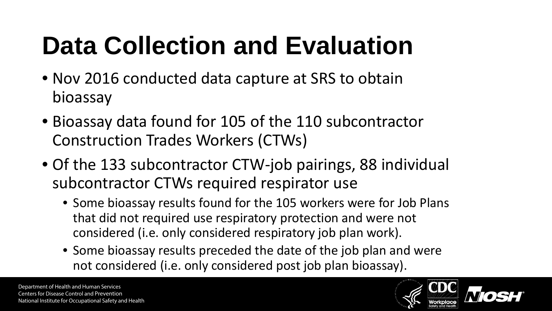# **Data Collection and Evaluation**

- Nov 2016 conducted data capture at SRS to obtain bioassay
- Bioassay data found for 105 of the 110 subcontractor Construction Trades Workers (CTWs)
- Of the 133 subcontractor CTW-job pairings, 88 individual subcontractor CTWs required respirator use
	- Some bioassay results found for the 105 workers were for Job Plans that did not required use respiratory protection and were not considered (i.e. only considered respiratory job plan work).
	- Some bioassay results preceded the date of the job plan and were not considered (i.e. only considered post job plan bioassay).

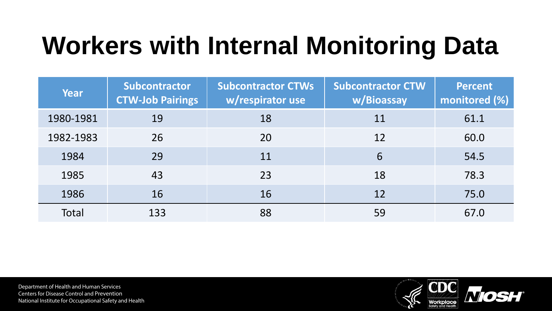# **Workers with Internal Monitoring Data**

| Year      | Subcontractor<br><b>CTW-Job Pairings</b> | <b>Subcontractor CTWs</b><br>w/respirator use | <b>Subcontractor CTW</b><br>w/Bioassay | <b>Percent</b><br>monitored (%) |
|-----------|------------------------------------------|-----------------------------------------------|----------------------------------------|---------------------------------|
| 1980-1981 | 19                                       | 18                                            | 11                                     | 61.1                            |
| 1982-1983 | 26                                       | 20                                            | 12                                     | 60.0                            |
| 1984      | 29                                       | 11                                            | 6                                      | 54.5                            |
| 1985      | 43                                       | 23                                            | 18                                     | 78.3                            |
| 1986      | 16                                       | 16                                            | 12                                     | 75.0                            |
| Total     | 133                                      | 88                                            | 59                                     | 67.0                            |

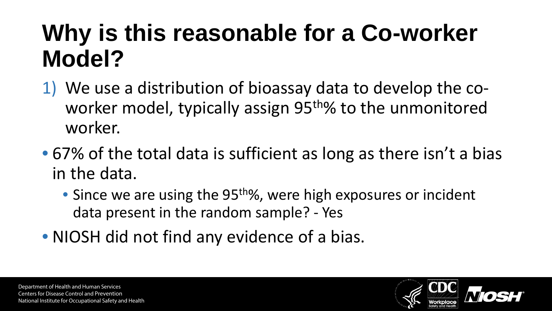### **Why is this reasonable for a Co-worker Model?**

- 1) We use a distribution of bioassay data to develop the coworker model, typically assign 95<sup>th</sup>% to the unmonitored worker.
- 67% of the total data is sufficient as long as there isn't a bias in the data.
	- Since we are using the 95<sup>th</sup>%, were high exposures or incident data present in the random sample? - Yes
- NIOSH did not find any evidence of a bias.

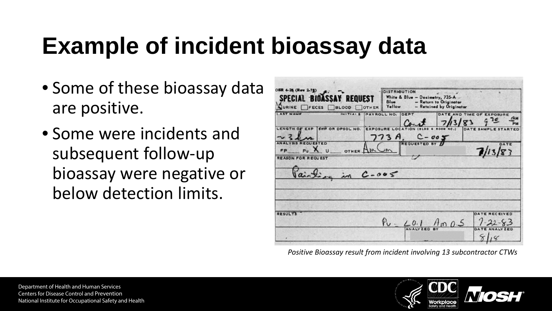## **Example of incident bioassay data**

- Some of these bioassay data are positive.
- Some were incidents and subsequent follow-up bioassay were negative or below detection limits.

| SPECIAL BIOASSAY REQUEST<br>JURINE FECES BLOOD FOTHER |                   | Blue<br>Yellow       | White & Blue - Dosimetry, 735-A | - Return to Originator<br>- Retained by Originator |                                           |
|-------------------------------------------------------|-------------------|----------------------|---------------------------------|----------------------------------------------------|-------------------------------------------|
| <b>AST NAME</b>                                       |                   | INITIALS PAYROLL NO. | DEPT                            | 13/83                                              | DATE AND TIME OF EXPOSURE<br>ΆN<br>$G$ 10 |
| <b>LENGTH OF EXP</b><br>$\sim$ 34 $\sim$              | SWP OR DPSOL NO.  |                      | 73 A C-007                      |                                                    |                                           |
| FP                                                    | PU X U OTHER AM   |                      |                                 |                                                    |                                           |
| <b>REASON FOR REQUEST</b>                             | Vairting in C-005 |                      |                                 |                                                    |                                           |
|                                                       |                   |                      |                                 |                                                    |                                           |
| <b>RESULT!</b>                                        |                   |                      |                                 |                                                    | <b>DATE RECEIVED</b>                      |

*Positive Bioassay result from incident involving 13 subcontractor CTWs*

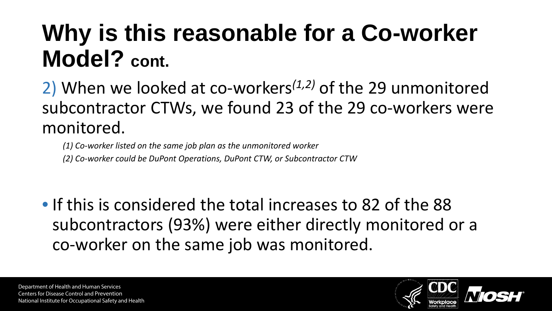#### **Why is this reasonable for a Co-worker Model? cont.**

2) When we looked at co-workers*(1,2)* of the 29 unmonitored subcontractor CTWs, we found 23 of the 29 co-workers were monitored.

*(1) Co-worker listed on the same job plan as the unmonitored worker (2) Co-worker could be DuPont Operations, DuPont CTW, or Subcontractor CTW*

• If this is considered the total increases to 82 of the 88 subcontractors (93%) were either directly monitored or a co-worker on the same job was monitored.

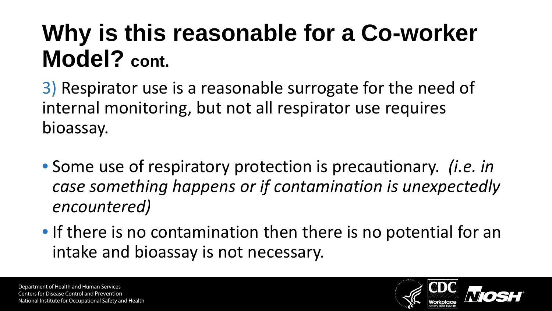#### **Why is this reasonable for a Co-worker Model? cont.**

3) Respirator use is a reasonable surrogate for the need of internal monitoring, but not all respirator use requires bioassay.

- Some use of respiratory protection is precautionary. *(i.e. in case something happens or if contamination is unexpectedly encountered)*
- If there is no contamination then there is no potential for an intake and bioassay is not necessary.

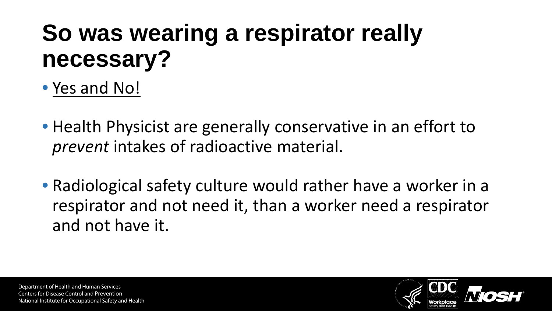### **So was wearing a respirator really necessary?**

- Yes and No!
- Health Physicist are generally conservative in an effort to *prevent* intakes of radioactive material.
- Radiological safety culture would rather have a worker in a respirator and not need it, than a worker need a respirator and not have it.

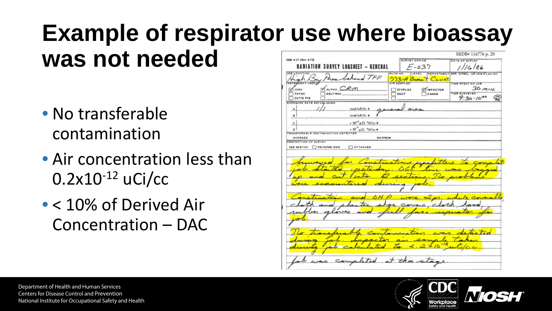#### **Example of respirator use where bioassay was not needed**

- No transferable contamination
- Air concentration less than  $0.2x10^{-12}$  uCi/cc
- < 10% of Derived Air Concentration – DAC

|                                                         |                                           | SRDB#116776 p. 20                                  |
|---------------------------------------------------------|-------------------------------------------|----------------------------------------------------|
| OSR 4-17 (Rev 4-72)                                     | <b>SURVEY OFFICE</b>                      | DATE OF SURVEY                                     |
| <b>RABIATION SURVEY</b><br>- GENERAL<br><b>INGSMEET</b> | $F - 037$                                 |                                                    |
| JOB LOCATION<br>TFF                                     | BLDG NO.<br>LEVEL                         | DEPARTMENT SWP. DPSOL. OR JOB PLAN NO.             |
| INSTRUMENT USEDO                                        | つつろーA<br>Caust<br>Gassin .<br>AIR SAMPLED | TIME SPENT ON JOB                                  |
| MALPHA CRM<br><b>ONUL</b>                               | $T$ STAPLEX<br>IMPACTOR                   | $30$ $mu$ .                                        |
| THYAC<br>NEUTRON                                        | DUCT<br><b>KANNE</b>                      | TIME SURVEYED<br>$\frac{4M}{2M}$<br>$9:30 - 10:00$ |
| <b>CUTIE PIE</b><br>EXPOSURE RATE ESTABLISHED           |                                           |                                                    |
| mrad/mR/hr @                                            |                                           |                                                    |
| mrad/mR/hr @<br>a                                       |                                           |                                                    |
| × 10 <sup>-8</sup> µ Cl <sup>2</sup> H/cc ●<br>c        |                                           |                                                    |
| × 10" µ Ci "H/cc @<br>ö                                 |                                           |                                                    |
| TRANSFERABLE CONTAMINATION DETECTED                     |                                           |                                                    |
| <b>MAXIMUM</b><br>AVERAGE<br>DESCRIPTION OF SURVEY      |                                           |                                                    |
| SEE SKETCH CREVERSE SIDE<br>ATTACHED                    |                                           |                                                    |
|                                                         |                                           |                                                    |
|                                                         |                                           |                                                    |
|                                                         |                                           |                                                    |
|                                                         |                                           |                                                    |
|                                                         |                                           |                                                    |
|                                                         |                                           |                                                    |
|                                                         |                                           |                                                    |
|                                                         |                                           |                                                    |
|                                                         |                                           |                                                    |
|                                                         |                                           |                                                    |
|                                                         |                                           |                                                    |
|                                                         |                                           |                                                    |

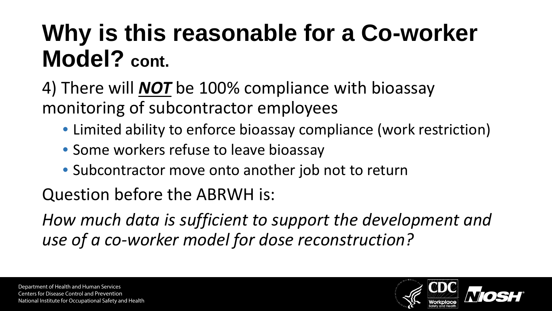### **Why is this reasonable for a Co-worker Model? cont.**

4) There will *NOT* be 100% compliance with bioassay monitoring of subcontractor employees

- Limited ability to enforce bioassay compliance (work restriction)
- Some workers refuse to leave bioassay
- Subcontractor move onto another job not to return

Question before the ABRWH is:

*How much data is sufficient to support the development and use of a co-worker model for dose reconstruction?* 

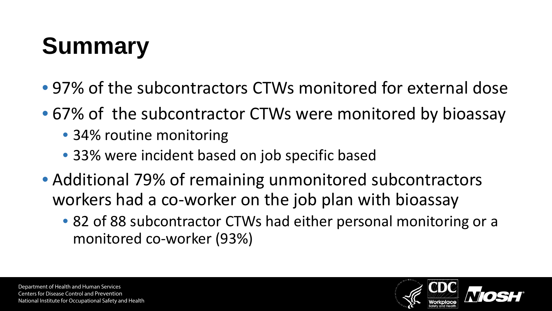# **Summary**

- 97% of the subcontractors CTWs monitored for external dose
- 67% of the subcontractor CTWs were monitored by bioassay
	- 34% routine monitoring
	- 33% were incident based on job specific based
- Additional 79% of remaining unmonitored subcontractors workers had a co-worker on the job plan with bioassay
	- 82 of 88 subcontractor CTWs had either personal monitoring or a monitored co-worker (93%)

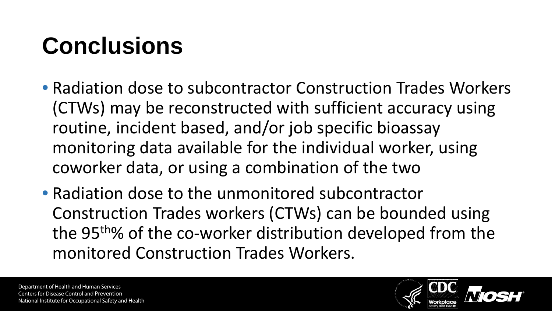# **Conclusions**

- Radiation dose to subcontractor Construction Trades Workers (CTWs) may be reconstructed with sufficient accuracy using routine, incident based, and/or job specific bioassay monitoring data available for the individual worker, using coworker data, or using a combination of the two
- Radiation dose to the unmonitored subcontractor Construction Trades workers (CTWs) can be bounded using the 95<sup>th</sup>% of the co-worker distribution developed from the monitored Construction Trades Workers.

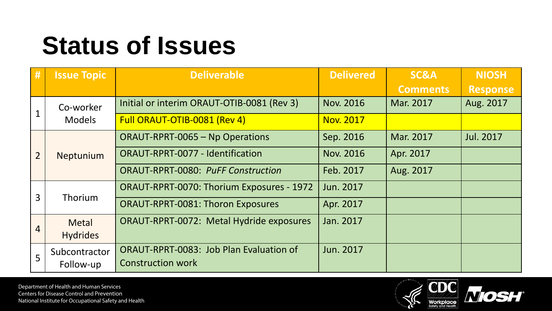## **Status of Issues**

| #              | <b>Issue Topic</b>         | <b>Deliverable</b>                              | <b>Delivered</b> | <b>SC&amp;A</b> | <b>NIOSH</b>     |
|----------------|----------------------------|-------------------------------------------------|------------------|-----------------|------------------|
|                |                            |                                                 |                  | <b>Comments</b> | <b>Response</b>  |
|                | Co-worker<br><b>Models</b> | Initial or interim ORAUT-OTIB-0081 (Rev 3)      | <b>Nov. 2016</b> | Mar. 2017       | Aug. 2017        |
|                |                            | Full ORAUT-OTIB-0081 (Rev 4)                    | <b>Nov. 2017</b> |                 |                  |
| $\overline{2}$ | Neptunium                  | <b>ORAUT-RPRT-0065 - Np Operations</b>          | Sep. 2016        | Mar. 2017       | <b>Jul. 2017</b> |
|                |                            | <b>ORAUT-RPRT-0077 - Identification</b>         | <b>Nov. 2016</b> | Apr. 2017       |                  |
|                |                            | <b>ORAUT-RPRT-0080: PuFF Construction</b>       | Feb. 2017        | Aug. 2017       |                  |
|                |                            | ORAUT-RPRT-0070: Thorium Exposures - 1972       | Jun. 2017        |                 |                  |
| $\overline{3}$ | Thorium                    | <b>ORAUT-RPRT-0081: Thoron Exposures</b>        | Apr. 2017        |                 |                  |
| 4              | <b>Metal</b>               | <b>ORAUT-RPRT-0072: Metal Hydride exposures</b> | Jan. 2017        |                 |                  |
|                | <b>Hydrides</b>            |                                                 |                  |                 |                  |
| 5              | Subcontractor              | ORAUT-RPRT-0083: Job Plan Evaluation of         | Jun. 2017        |                 |                  |
|                | Follow-up                  | <b>Construction work</b>                        |                  |                 |                  |

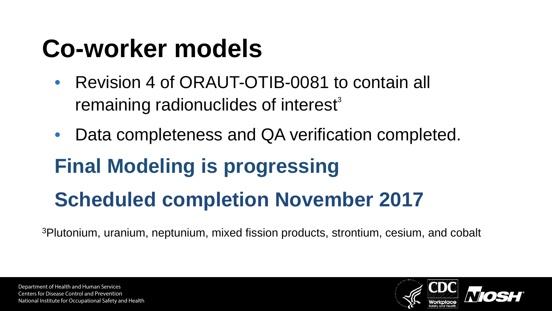# **Co-worker models**

- Revision 4 of ORAUT-OTIB-0081 to contain all remaining radionuclides of interest<sup>3</sup>
- Data completeness and QA verification completed. **Final Modeling is progressing Scheduled completion November 2017**

3Plutonium, uranium, neptunium, mixed fission products, strontium, cesium, and cobalt